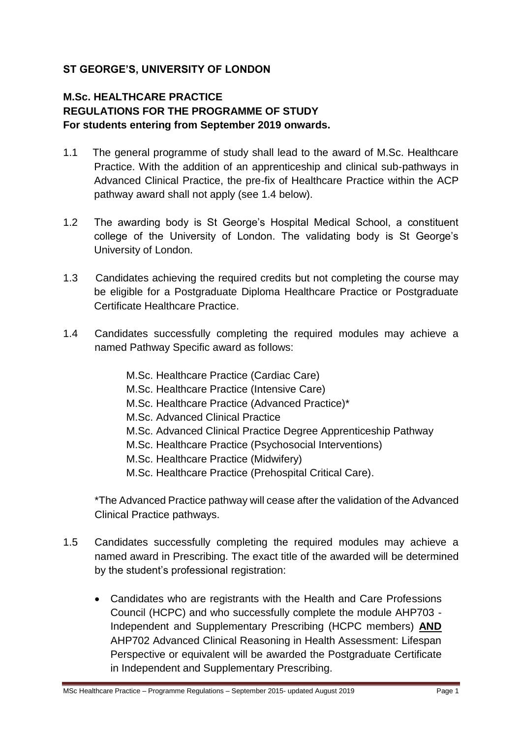# **ST GEORGE'S, UNIVERSITY OF LONDON**

# **M.Sc. HEALTHCARE PRACTICE REGULATIONS FOR THE PROGRAMME OF STUDY For students entering from September 2019 onwards.**

- 1.1 The general programme of study shall lead to the award of M.Sc. Healthcare Practice. With the addition of an apprenticeship and clinical sub-pathways in Advanced Clinical Practice, the pre-fix of Healthcare Practice within the ACP pathway award shall not apply (see 1.4 below).
- 1.2 The awarding body is St George's Hospital Medical School, a constituent college of the University of London. The validating body is St George's University of London.
- 1.3 Candidates achieving the required credits but not completing the course may be eligible for a Postgraduate Diploma Healthcare Practice or Postgraduate Certificate Healthcare Practice.
- 1.4 Candidates successfully completing the required modules may achieve a named Pathway Specific award as follows:
	- M.Sc. Healthcare Practice (Cardiac Care) M.Sc. Healthcare Practice (Intensive Care) M.Sc. Healthcare Practice (Advanced Practice)\* M.Sc. Advanced Clinical Practice M.Sc. Advanced Clinical Practice Degree Apprenticeship Pathway M.Sc. Healthcare Practice (Psychosocial Interventions) M.Sc. Healthcare Practice (Midwifery) M.Sc. Healthcare Practice (Prehospital Critical Care). \*The Advanced Practice pathway will cease after the validation of the Advanced
	- Clinical Practice pathways.
- 1.5 Candidates successfully completing the required modules may achieve a named award in Prescribing. The exact title of the awarded will be determined by the student's professional registration:
	- Candidates who are registrants with the Health and Care Professions Council (HCPC) and who successfully complete the module AHP703 - Independent and Supplementary Prescribing (HCPC members) **AND** AHP702 Advanced Clinical Reasoning in Health Assessment: Lifespan Perspective or equivalent will be awarded the Postgraduate Certificate in Independent and Supplementary Prescribing.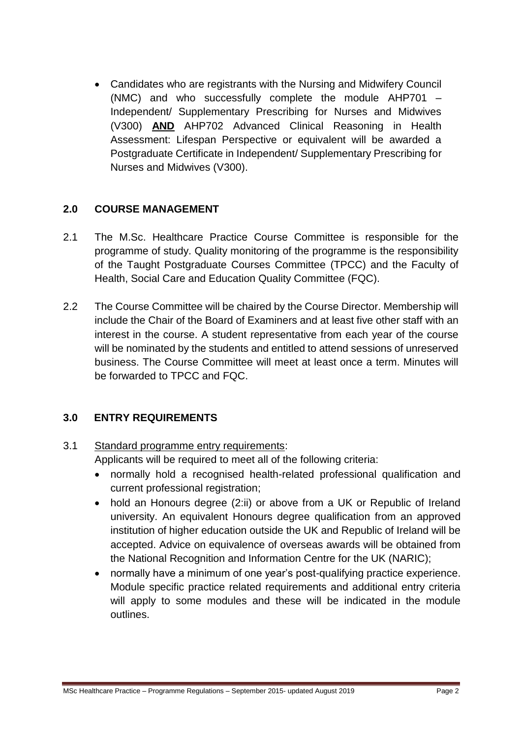• Candidates who are registrants with the Nursing and Midwifery Council (NMC) and who successfully complete the module AHP701 – Independent/ Supplementary Prescribing for Nurses and Midwives (V300) **AND** AHP702 Advanced Clinical Reasoning in Health Assessment: Lifespan Perspective or equivalent will be awarded a Postgraduate Certificate in Independent/ Supplementary Prescribing for Nurses and Midwives (V300).

# **2.0 COURSE MANAGEMENT**

- 2.1 The M.Sc. Healthcare Practice Course Committee is responsible for the programme of study. Quality monitoring of the programme is the responsibility of the Taught Postgraduate Courses Committee (TPCC) and the Faculty of Health, Social Care and Education Quality Committee (FQC).
- 2.2 The Course Committee will be chaired by the Course Director. Membership will include the Chair of the Board of Examiners and at least five other staff with an interest in the course. A student representative from each year of the course will be nominated by the students and entitled to attend sessions of unreserved business. The Course Committee will meet at least once a term. Minutes will be forwarded to TPCC and FQC.

# **3.0 ENTRY REQUIREMENTS**

# 3.1 Standard programme entry requirements:

Applicants will be required to meet all of the following criteria:

- normally hold a recognised health-related professional qualification and current professional registration:
- hold an Honours degree (2:ii) or above from a UK or Republic of Ireland university. An equivalent Honours degree qualification from an approved institution of higher education outside the UK and Republic of Ireland will be accepted. Advice on equivalence of overseas awards will be obtained from the National Recognition and Information Centre for the UK (NARIC);
- normally have a minimum of one year's post-qualifying practice experience. Module specific practice related requirements and additional entry criteria will apply to some modules and these will be indicated in the module outlines.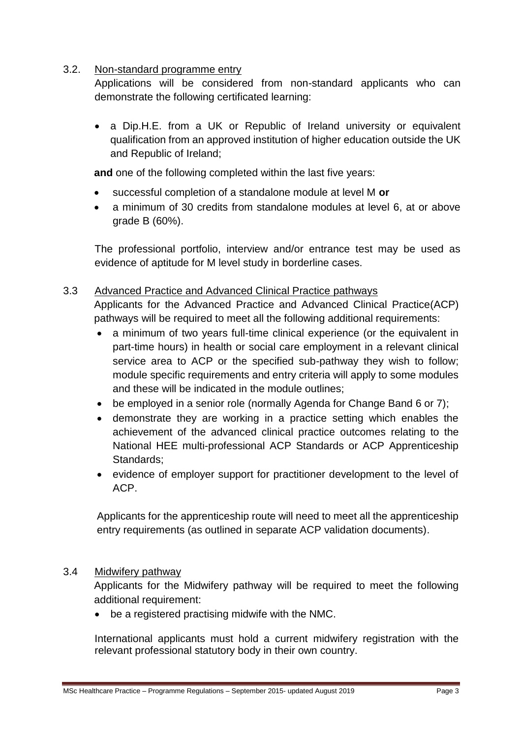### 3.2. Non-standard programme entry

Applications will be considered from non-standard applicants who can demonstrate the following certificated learning:

• a Dip.H.E. from a UK or Republic of Ireland university or equivalent qualification from an approved institution of higher education outside the UK and Republic of Ireland;

**and** one of the following completed within the last five years:

- successful completion of a standalone module at level M **or**
- a minimum of 30 credits from standalone modules at level 6, at or above grade B (60%).

The professional portfolio, interview and/or entrance test may be used as evidence of aptitude for M level study in borderline cases.

# 3.3 Advanced Practice and Advanced Clinical Practice pathways

Applicants for the Advanced Practice and Advanced Clinical Practice(ACP) pathways will be required to meet all the following additional requirements:

- a minimum of two years full-time clinical experience (or the equivalent in part-time hours) in health or social care employment in a relevant clinical service area to ACP or the specified sub-pathway they wish to follow; module specific requirements and entry criteria will apply to some modules and these will be indicated in the module outlines;
- be employed in a senior role (normally Agenda for Change Band 6 or 7);
- demonstrate they are working in a practice setting which enables the achievement of the advanced clinical practice outcomes relating to the National HEE multi-professional ACP Standards or ACP Apprenticeship Standards;
- evidence of employer support for practitioner development to the level of ACP.

Applicants for the apprenticeship route will need to meet all the apprenticeship entry requirements (as outlined in separate ACP validation documents).

#### 3.4 Midwifery pathway

Applicants for the Midwifery pathway will be required to meet the following additional requirement:

• be a registered practising midwife with the NMC.

International applicants must hold a current midwifery registration with the relevant professional statutory body in their own country.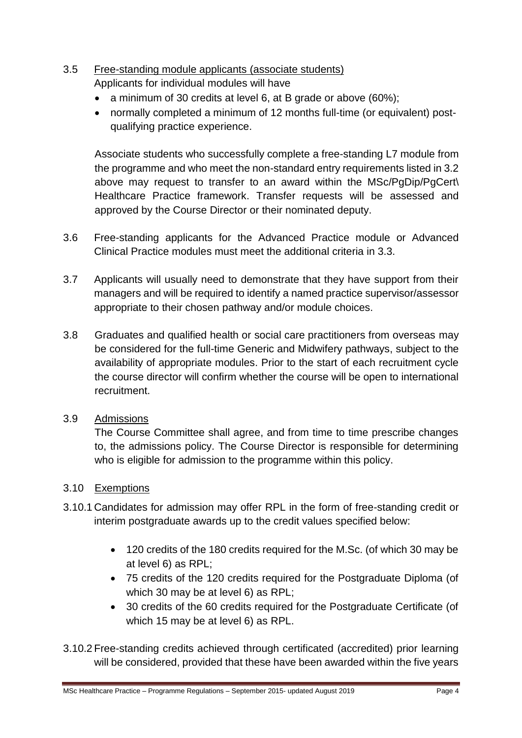# 3.5 Free-standing module applicants (associate students)

Applicants for individual modules will have

- a minimum of 30 credits at level 6, at B grade or above (60%);
- normally completed a minimum of 12 months full-time (or equivalent) postqualifying practice experience.

Associate students who successfully complete a free-standing L7 module from the programme and who meet the non-standard entry requirements listed in 3.2 above may request to transfer to an award within the MSc/PgDip/PgCert\ Healthcare Practice framework. Transfer requests will be assessed and approved by the Course Director or their nominated deputy.

- 3.6 Free-standing applicants for the Advanced Practice module or Advanced Clinical Practice modules must meet the additional criteria in 3.3.
- 3.7 Applicants will usually need to demonstrate that they have support from their managers and will be required to identify a named practice supervisor/assessor appropriate to their chosen pathway and/or module choices.
- 3.8 Graduates and qualified health or social care practitioners from overseas may be considered for the full-time Generic and Midwifery pathways, subject to the availability of appropriate modules. Prior to the start of each recruitment cycle the course director will confirm whether the course will be open to international recruitment.

# 3.9 Admissions

The Course Committee shall agree, and from time to time prescribe changes to, the admissions policy. The Course Director is responsible for determining who is eligible for admission to the programme within this policy.

# 3.10 Exemptions

- 3.10.1 Candidates for admission may offer RPL in the form of free-standing credit or interim postgraduate awards up to the credit values specified below:
	- 120 credits of the 180 credits required for the M.Sc. (of which 30 may be at level 6) as RPL;
	- 75 credits of the 120 credits required for the Postgraduate Diploma (of which 30 may be at level 6) as RPL;
	- 30 credits of the 60 credits required for the Postgraduate Certificate (of which 15 may be at level 6) as RPL.
- 3.10.2 Free-standing credits achieved through certificated (accredited) prior learning will be considered, provided that these have been awarded within the five years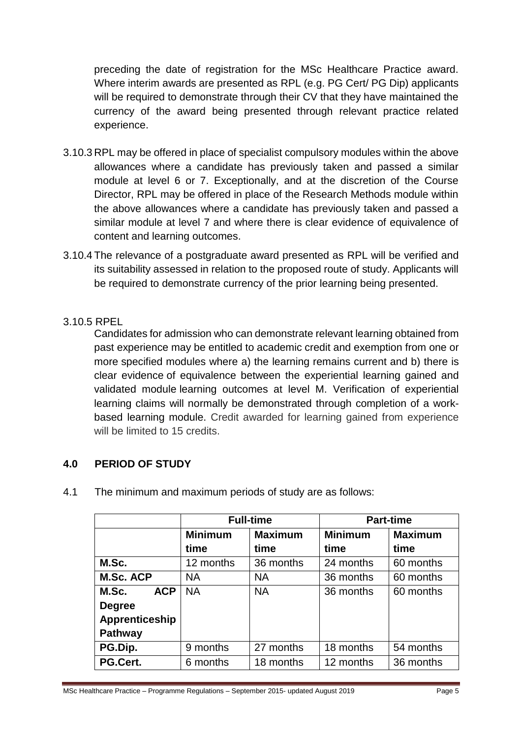preceding the date of registration for the MSc Healthcare Practice award. Where interim awards are presented as RPL (e.g. PG Cert/ PG Dip) applicants will be required to demonstrate through their CV that they have maintained the currency of the award being presented through relevant practice related experience.

- 3.10.3 RPL may be offered in place of specialist compulsory modules within the above allowances where a candidate has previously taken and passed a similar module at level 6 or 7. Exceptionally, and at the discretion of the Course Director, RPL may be offered in place of the Research Methods module within the above allowances where a candidate has previously taken and passed a similar module at level 7 and where there is clear evidence of equivalence of content and learning outcomes.
- 3.10.4 The relevance of a postgraduate award presented as RPL will be verified and its suitability assessed in relation to the proposed route of study. Applicants will be required to demonstrate currency of the prior learning being presented.
- 3.10.5 RPEL

Candidates for admission who can demonstrate relevant learning obtained from past experience may be entitled to academic credit and exemption from one or more specified modules where a) the learning remains current and b) there is clear evidence of equivalence between the experiential learning gained and validated module learning outcomes at level M. Verification of experiential learning claims will normally be demonstrated through completion of a workbased learning module. Credit awarded for learning gained from experience will be limited to 15 credits.

# **4.0 PERIOD OF STUDY**

|                     | <b>Full-time</b> |                | <b>Part-time</b> |                |
|---------------------|------------------|----------------|------------------|----------------|
|                     | <b>Minimum</b>   | <b>Maximum</b> | <b>Minimum</b>   | <b>Maximum</b> |
|                     | time             | time           | time             | time           |
| M.Sc.               | 12 months        | 36 months      | 24 months        | 60 months      |
| <b>M.Sc. ACP</b>    | <b>NA</b>        | <b>NA</b>      | 36 months        | 60 months      |
| <b>ACP</b><br>M.Sc. | <b>NA</b>        | <b>NA</b>      | 36 months        | 60 months      |
| <b>Degree</b>       |                  |                |                  |                |
| Apprenticeship      |                  |                |                  |                |
| <b>Pathway</b>      |                  |                |                  |                |
| PG.Dip.             | 9 months         | 27 months      | 18 months        | 54 months      |
| PG.Cert.            | 6 months         | 18 months      | 12 months        | 36 months      |

4.1 The minimum and maximum periods of study are as follows: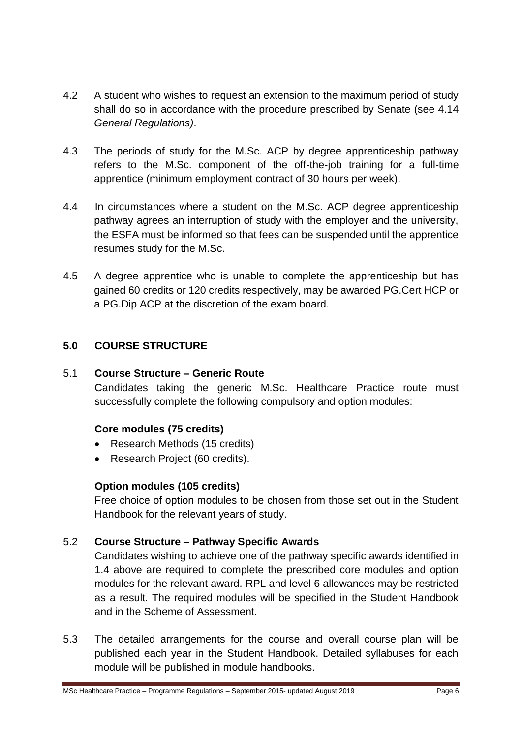- 4.2 A student who wishes to request an extension to the maximum period of study shall do so in accordance with the procedure prescribed by Senate (see 4.14 *General Regulations)*.
- 4.3 The periods of study for the M.Sc. ACP by degree apprenticeship pathway refers to the M.Sc. component of the off-the-job training for a full-time apprentice (minimum employment contract of 30 hours per week).
- 4.4 In circumstances where a student on the M.Sc. ACP degree apprenticeship pathway agrees an interruption of study with the employer and the university, the ESFA must be informed so that fees can be suspended until the apprentice resumes study for the M.Sc.
- 4.5 A degree apprentice who is unable to complete the apprenticeship but has gained 60 credits or 120 credits respectively, may be awarded PG.Cert HCP or a PG.Dip ACP at the discretion of the exam board.

# **5.0 COURSE STRUCTURE**

# 5.1 **Course Structure – Generic Route**

Candidates taking the generic M.Sc. Healthcare Practice route must successfully complete the following compulsory and option modules:

# **Core modules (75 credits)**

- Research Methods (15 credits)
- Research Project (60 credits).

# **Option modules (105 credits)**

Free choice of option modules to be chosen from those set out in the Student Handbook for the relevant years of study.

# 5.2 **Course Structure – Pathway Specific Awards**

Candidates wishing to achieve one of the pathway specific awards identified in 1.4 above are required to complete the prescribed core modules and option modules for the relevant award. RPL and level 6 allowances may be restricted as a result. The required modules will be specified in the Student Handbook and in the Scheme of Assessment.

5.3 The detailed arrangements for the course and overall course plan will be published each year in the Student Handbook. Detailed syllabuses for each module will be published in module handbooks.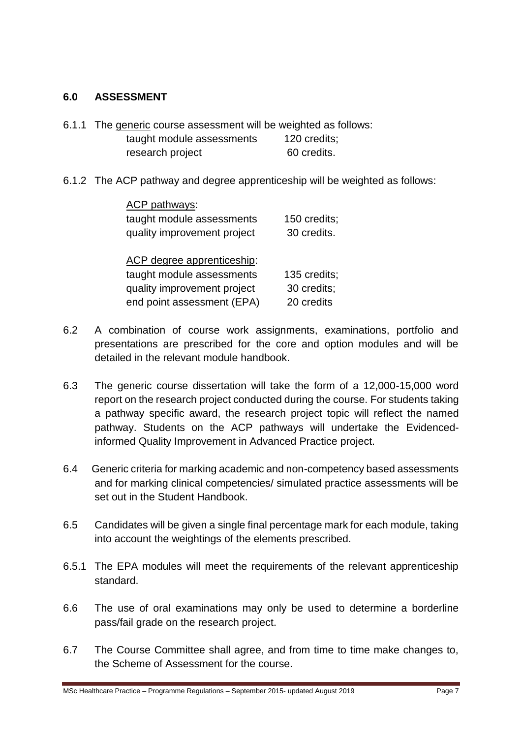# **6.0 ASSESSMENT**

- 6.1.1 The generic course assessment will be weighted as follows: taught module assessments 120 credits; research project 60 credits.
- 6.1.2 The ACP pathway and degree apprenticeship will be weighted as follows:

| ACP pathways:               |              |
|-----------------------------|--------------|
| taught module assessments   | 150 credits; |
| quality improvement project | 30 credits.  |
| ACP degree apprenticeship:  |              |
| taught module assessments   | 135 credits; |
| quality improvement project | 30 credits;  |
| end point assessment (EPA)  | 20 credits   |

- 6.2 A combination of course work assignments, examinations, portfolio and presentations are prescribed for the core and option modules and will be detailed in the relevant module handbook.
- 6.3 The generic course dissertation will take the form of a 12,000-15,000 word report on the research project conducted during the course. For students taking a pathway specific award, the research project topic will reflect the named pathway. Students on the ACP pathways will undertake the Evidencedinformed Quality Improvement in Advanced Practice project.
- 6.4 Generic criteria for marking academic and non-competency based assessments and for marking clinical competencies/ simulated practice assessments will be set out in the Student Handbook.
- 6.5 Candidates will be given a single final percentage mark for each module, taking into account the weightings of the elements prescribed.
- 6.5.1 The EPA modules will meet the requirements of the relevant apprenticeship standard.
- 6.6 The use of oral examinations may only be used to determine a borderline pass/fail grade on the research project.
- 6.7 The Course Committee shall agree, and from time to time make changes to, the Scheme of Assessment for the course.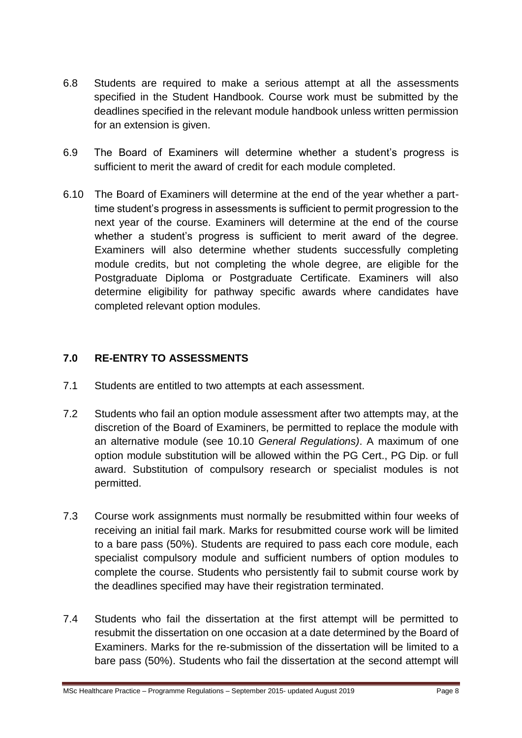- 6.8 Students are required to make a serious attempt at all the assessments specified in the Student Handbook. Course work must be submitted by the deadlines specified in the relevant module handbook unless written permission for an extension is given.
- 6.9 The Board of Examiners will determine whether a student's progress is sufficient to merit the award of credit for each module completed.
- 6.10 The Board of Examiners will determine at the end of the year whether a parttime student's progress in assessments is sufficient to permit progression to the next year of the course. Examiners will determine at the end of the course whether a student's progress is sufficient to merit award of the degree. Examiners will also determine whether students successfully completing module credits, but not completing the whole degree, are eligible for the Postgraduate Diploma or Postgraduate Certificate. Examiners will also determine eligibility for pathway specific awards where candidates have completed relevant option modules.

# **7.0 RE-ENTRY TO ASSESSMENTS**

- 7.1 Students are entitled to two attempts at each assessment.
- 7.2 Students who fail an option module assessment after two attempts may, at the discretion of the Board of Examiners, be permitted to replace the module with an alternative module (see 10.10 *General Regulations)*. A maximum of one option module substitution will be allowed within the PG Cert., PG Dip. or full award. Substitution of compulsory research or specialist modules is not permitted.
- 7.3 Course work assignments must normally be resubmitted within four weeks of receiving an initial fail mark. Marks for resubmitted course work will be limited to a bare pass (50%). Students are required to pass each core module, each specialist compulsory module and sufficient numbers of option modules to complete the course. Students who persistently fail to submit course work by the deadlines specified may have their registration terminated.
- 7.4 Students who fail the dissertation at the first attempt will be permitted to resubmit the dissertation on one occasion at a date determined by the Board of Examiners. Marks for the re-submission of the dissertation will be limited to a bare pass (50%). Students who fail the dissertation at the second attempt will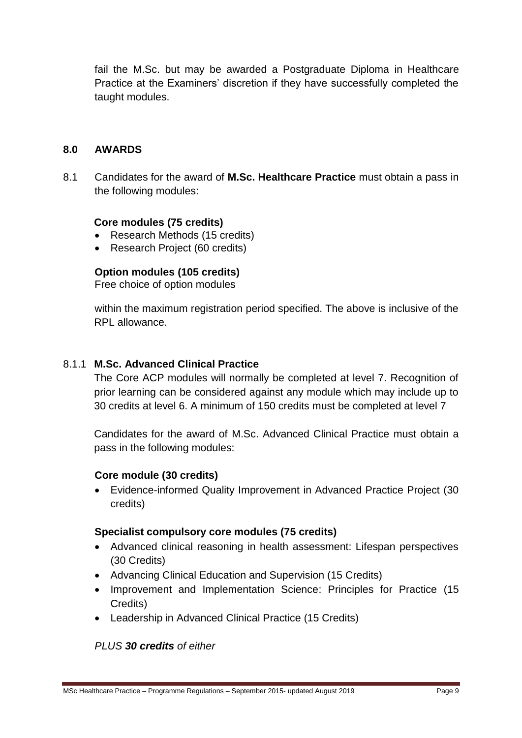fail the M.Sc. but may be awarded a Postgraduate Diploma in Healthcare Practice at the Examiners' discretion if they have successfully completed the taught modules.

### **8.0 AWARDS**

8.1 Candidates for the award of **M.Sc. Healthcare Practice** must obtain a pass in the following modules:

#### **Core modules (75 credits)**

- Research Methods (15 credits)
- Research Project (60 credits)

### **Option modules (105 credits)**

Free choice of option modules

within the maximum registration period specified. The above is inclusive of the RPL allowance.

### 8.1.1 **M.Sc. Advanced Clinical Practice**

The Core ACP modules will normally be completed at level 7. Recognition of prior learning can be considered against any module which may include up to 30 credits at level 6. A minimum of 150 credits must be completed at level 7

Candidates for the award of M.Sc. Advanced Clinical Practice must obtain a pass in the following modules:

#### **Core module (30 credits)**

• Evidence-informed Quality Improvement in Advanced Practice Project (30 credits)

#### **Specialist compulsory core modules (75 credits)**

- Advanced clinical reasoning in health assessment: Lifespan perspectives (30 Credits)
- Advancing Clinical Education and Supervision (15 Credits)
- Improvement and Implementation Science: Principles for Practice (15 Credits)
- Leadership in Advanced Clinical Practice (15 Credits)

#### *PLUS 30 credits of either*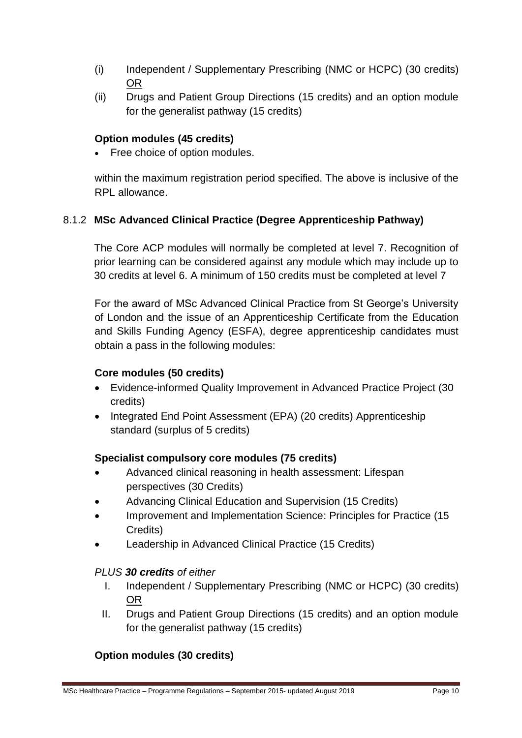- (i) Independent / Supplementary Prescribing (NMC or HCPC) (30 credits) OR
- (ii) Drugs and Patient Group Directions (15 credits) and an option module for the generalist pathway (15 credits)

# **Option modules (45 credits)**

Free choice of option modules.

within the maximum registration period specified. The above is inclusive of the RPL allowance.

# 8.1.2 **MSc Advanced Clinical Practice (Degree Apprenticeship Pathway)**

The Core ACP modules will normally be completed at level 7. Recognition of prior learning can be considered against any module which may include up to 30 credits at level 6. A minimum of 150 credits must be completed at level 7

For the award of MSc Advanced Clinical Practice from St George's University of London and the issue of an Apprenticeship Certificate from the Education and Skills Funding Agency (ESFA), degree apprenticeship candidates must obtain a pass in the following modules:

# **Core modules (50 credits)**

- Evidence-informed Quality Improvement in Advanced Practice Project (30 credits)
- Integrated End Point Assessment (EPA) (20 credits) Apprenticeship standard (surplus of 5 credits)

# **Specialist compulsory core modules (75 credits)**

- Advanced clinical reasoning in health assessment: Lifespan perspectives (30 Credits)
- Advancing Clinical Education and Supervision (15 Credits)
- Improvement and Implementation Science: Principles for Practice (15 Credits)
- Leadership in Advanced Clinical Practice (15 Credits)

# *PLUS 30 credits of either*

- I. Independent / Supplementary Prescribing (NMC or HCPC) (30 credits) OR
- II. Drugs and Patient Group Directions (15 credits) and an option module for the generalist pathway (15 credits)

# **Option modules (30 credits)**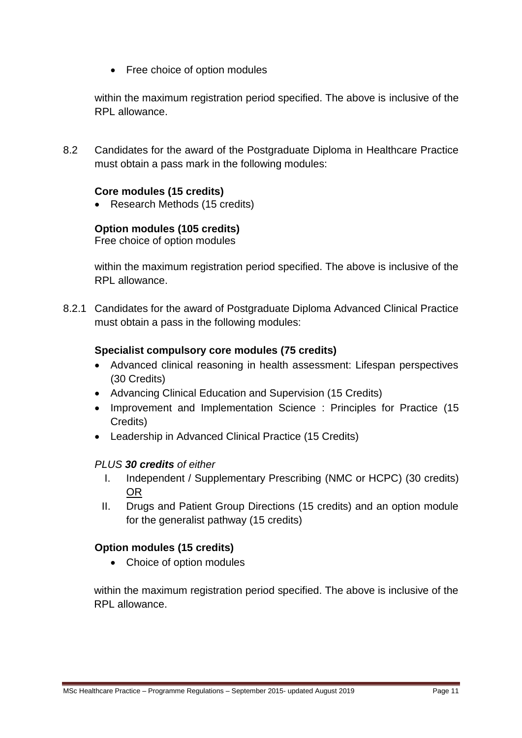• Free choice of option modules

within the maximum registration period specified. The above is inclusive of the RPL allowance.

8.2 Candidates for the award of the Postgraduate Diploma in Healthcare Practice must obtain a pass mark in the following modules:

### **Core modules (15 credits)**

• Research Methods (15 credits)

# **Option modules (105 credits)**

Free choice of option modules

within the maximum registration period specified. The above is inclusive of the RPL allowance.

8.2.1 Candidates for the award of Postgraduate Diploma Advanced Clinical Practice must obtain a pass in the following modules:

### **Specialist compulsory core modules (75 credits)**

- Advanced clinical reasoning in health assessment: Lifespan perspectives (30 Credits)
- Advancing Clinical Education and Supervision (15 Credits)
- Improvement and Implementation Science : Principles for Practice (15 Credits)
- Leadership in Advanced Clinical Practice (15 Credits)

#### *PLUS 30 credits of either*

- I. Independent / Supplementary Prescribing (NMC or HCPC) (30 credits) OR
- II. Drugs and Patient Group Directions (15 credits) and an option module for the generalist pathway (15 credits)

# **Option modules (15 credits)**

• Choice of option modules

within the maximum registration period specified. The above is inclusive of the RPL allowance.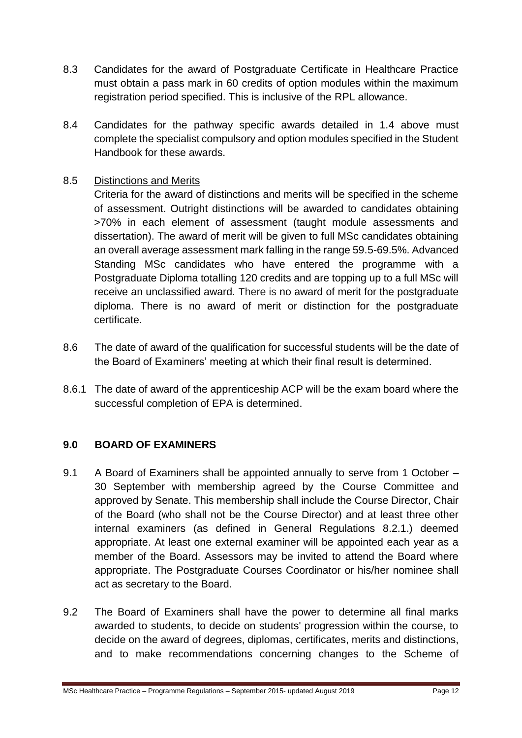- 8.3 Candidates for the award of Postgraduate Certificate in Healthcare Practice must obtain a pass mark in 60 credits of option modules within the maximum registration period specified. This is inclusive of the RPL allowance.
- 8.4 Candidates for the pathway specific awards detailed in 1.4 above must complete the specialist compulsory and option modules specified in the Student Handbook for these awards.

# 8.5 Distinctions and Merits

Criteria for the award of distinctions and merits will be specified in the scheme of assessment. Outright distinctions will be awarded to candidates obtaining >70% in each element of assessment (taught module assessments and dissertation). The award of merit will be given to full MSc candidates obtaining an overall average assessment mark falling in the range 59.5-69.5%. Advanced Standing MSc candidates who have entered the programme with a Postgraduate Diploma totalling 120 credits and are topping up to a full MSc will receive an unclassified award. There is no award of merit for the postgraduate diploma. There is no award of merit or distinction for the postgraduate certificate.

- 8.6 The date of award of the qualification for successful students will be the date of the Board of Examiners' meeting at which their final result is determined.
- 8.6.1 The date of award of the apprenticeship ACP will be the exam board where the successful completion of EPA is determined.

# **9.0 BOARD OF EXAMINERS**

- 9.1 A Board of Examiners shall be appointed annually to serve from 1 October 30 September with membership agreed by the Course Committee and approved by Senate. This membership shall include the Course Director, Chair of the Board (who shall not be the Course Director) and at least three other internal examiners (as defined in General Regulations 8.2.1.) deemed appropriate. At least one external examiner will be appointed each year as a member of the Board. Assessors may be invited to attend the Board where appropriate. The Postgraduate Courses Coordinator or his/her nominee shall act as secretary to the Board.
- 9.2 The Board of Examiners shall have the power to determine all final marks awarded to students, to decide on students' progression within the course, to decide on the award of degrees, diplomas, certificates, merits and distinctions, and to make recommendations concerning changes to the Scheme of